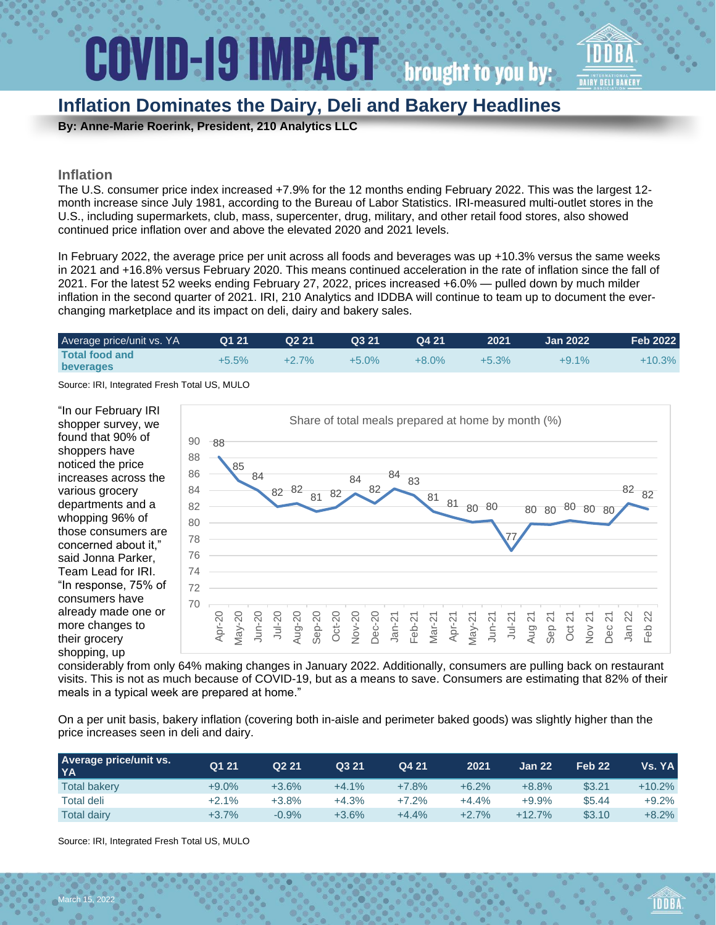# **Inflation Dominates the Dairy, Deli and Bakery Headlines**

**By: Anne-Marie Roerink, President, 210 Analytics LLC**

### **Inflation**

The U.S. consumer price index increased +7.9% for the 12 months ending February 2022. This was the largest 12 month increase since July 1981, according to the Bureau of Labor Statistics. IRI-measured multi-outlet stores in the U.S., including supermarkets, club, mass, supercenter, drug, military, and other retail food stores, also showed continued price inflation over and above the elevated 2020 and 2021 levels.

In February 2022, the average price per unit across all foods and beverages was up +10.3% versus the same weeks in 2021 and +16.8% versus February 2020. This means continued acceleration in the rate of inflation since the fall of 2021. For the latest 52 weeks ending February 27, 2022, prices increased +6.0% — pulled down by much milder inflation in the second quarter of 2021. IRI, 210 Analytics and IDDBA will continue to team up to document the everchanging marketplace and its impact on deli, dairy and bakery sales.

| Average price/unit vs. YA                 | Q1 21   | Q <sub>2</sub> 21 | Q3 21    | Q4 21    | 2021     | <b>Jan 2022</b> | <b>Feb 2022</b> |
|-------------------------------------------|---------|-------------------|----------|----------|----------|-----------------|-----------------|
| <b>Total food and</b><br><b>beverages</b> | $+5.5%$ | $+2.7\%$          | $+5.0\%$ | $+8.0\%$ | $+5.3\%$ | $+9.1\%$        | $+10.3%$        |

Source: IRI, Integrated Fresh Total US, MULO

"In our February IRI shopper survey, we found that 90% of shoppers have noticed the price increases across the various grocery departments and a whopping 96% of those consumers are concerned about it," said Jonna Parker, Team Lead for IRI. "In response, 75% of consumers have already made one or more changes to their grocery shopping, up



considerably from only 64% making changes in January 2022. Additionally, consumers are pulling back on restaurant visits. This is not as much because of COVID-19, but as a means to save. Consumers are estimating that 82% of their meals in a typical week are prepared at home."

On a per unit basis, bakery inflation (covering both in-aisle and perimeter baked goods) was slightly higher than the price increases seen in deli and dairy.

| <b>Average price/unit vs.</b><br>YA | Q1 21    | Q <sub>2</sub> 21 | Q3 21   | Q4 21   | 2021     | Jan 22   | Feb <sub>22</sub> | Vs. YA   |
|-------------------------------------|----------|-------------------|---------|---------|----------|----------|-------------------|----------|
| <b>Total bakery</b>                 | $+9.0\%$ | $+3.6%$           | $+4.1%$ | $+7.8%$ | $+6.2%$  | $+8.8%$  | \$3.21            | $+10.2%$ |
| Total deli                          | $+2.1%$  | $+3.8\%$          | +4.3%   | $+7.2%$ | $+4.4\%$ | $+9.9%$  | \$5.44            | $+9.2%$  |
| <b>Total dairy</b>                  | $+3.7%$  | $-0.9%$           | $+3.6%$ | $+4.4%$ | $+2.7%$  | $+12.7%$ | \$3.10            | $+8.2%$  |

Source: IRI, Integrated Fresh Total US, MULO

March 15, 2022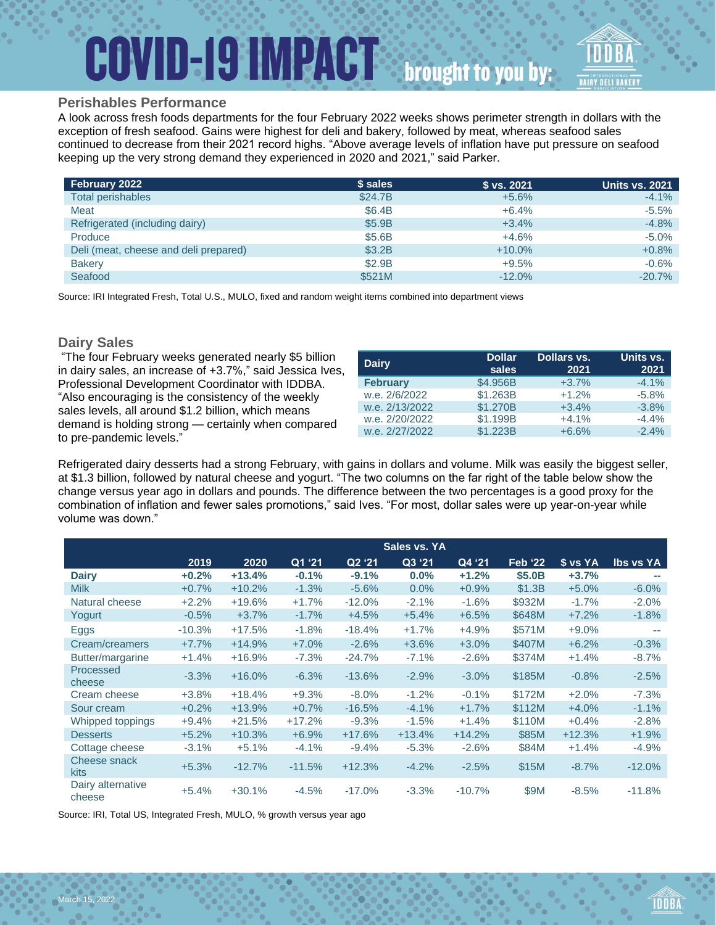# **COVID-19 IMPACT** brought to you by:



### **Perishables Performance**

A look across fresh foods departments for the four February 2022 weeks shows perimeter strength in dollars with the exception of fresh seafood. Gains were highest for deli and bakery, followed by meat, whereas seafood sales continued to decrease from their 2021 record highs. "Above average levels of inflation have put pressure on seafood keeping up the very strong demand they experienced in 2020 and 2021," said Parker.

| February 2022                         | \$ sales | \$ vs. 2021 | <b>Units vs. 2021</b> |
|---------------------------------------|----------|-------------|-----------------------|
| Total perishables                     | \$24.7B  | $+5.6%$     | $-4.1\%$              |
| Meat                                  | \$6.4B   | $+6.4%$     | $-5.5%$               |
| Refrigerated (including dairy)        | \$5.9B   | $+3.4%$     | $-4.8%$               |
| Produce                               | \$5.6B   | $+4.6%$     | $-5.0%$               |
| Deli (meat, cheese and deli prepared) | \$3.2B   | $+10.0\%$   | $+0.8%$               |
| <b>Bakery</b>                         | \$2.9B   | $+9.5%$     | $-0.6%$               |
| Seafood                               | \$521M   | $-12.0%$    | $-20.7%$              |

Source: IRI Integrated Fresh, Total U.S., MULO, fixed and random weight items combined into department views

## **Dairy Sales**

| "The four February weeks generated nearly \$5 billion<br>in dairy sales, an increase of +3.7%," said Jessica Ives, | <b>Dairy</b>    | <b>Dollar</b><br>sales | Dollars vs.<br>2021 | Units vs.<br>2021 |
|--------------------------------------------------------------------------------------------------------------------|-----------------|------------------------|---------------------|-------------------|
| Professional Development Coordinator with IDDBA.                                                                   | <b>February</b> | \$4.956B               | $+3.7%$             | $-4.1%$           |
| "Also encouraging is the consistency of the weekly                                                                 | w.e. 2/6/2022   | \$1,263B               | $+1.2%$             | $-5.8\%$          |
| sales levels, all around \$1.2 billion, which means                                                                | w.e. 2/13/2022  | \$1,270B               | $+3.4%$             | $-3.8%$           |
| demand is holding strong - certainly when compared                                                                 | w.e. 2/20/2022  | \$1.199B               | $+4.1%$             | $-4.4%$           |
|                                                                                                                    | w.e. 2/27/2022  | \$1,223B               | $+6.6%$             | $-2.4%$           |
| to pre-pandemic levels."                                                                                           |                 |                        |                     |                   |

Refrigerated dairy desserts had a strong February, with gains in dollars and volume. Milk was easily the biggest seller, at \$1.3 billion, followed by natural cheese and yogurt. "The two columns on the far right of the table below show the change versus year ago in dollars and pounds. The difference between the two percentages is a good proxy for the combination of inflation and fewer sales promotions," said Ives. "For most, dollar sales were up year-on-year while volume was down."

|                             |          |          |          |          | Sales vs. YA |          |                |          |                  |
|-----------------------------|----------|----------|----------|----------|--------------|----------|----------------|----------|------------------|
|                             | 2019     | 2020     | Q1 '21   | Q2 '21   | Q3 '21       | Q4 '21   | <b>Feb '22</b> | \$ vs YA | <b>Ibs vs YA</b> |
| <b>Dairy</b>                | $+0.2%$  | $+13.4%$ | $-0.1%$  | $-9.1%$  | 0.0%         | $+1.2%$  | \$5.0B         | $+3.7%$  |                  |
| <b>Milk</b>                 | $+0.7%$  | $+10.2%$ | $-1.3%$  | $-5.6%$  | $0.0\%$      | $+0.9%$  | \$1.3B         | $+5.0%$  | $-6.0%$          |
| Natural cheese              | $+2.2%$  | $+19.6%$ | $+1.7%$  | $-12.0%$ | $-2.1%$      | $-1.6%$  | \$932M         | $-1.7%$  | $-2.0%$          |
| Yogurt                      | $-0.5%$  | $+3.7%$  | $-1.7%$  | $+4.5%$  | $+5.4%$      | $+6.5%$  | \$648M         | $+7.2%$  | $-1.8%$          |
| Eggs                        | $-10.3%$ | $+17.5%$ | $-1.8%$  | $-18.4%$ | $+1.7%$      | $+4.9%$  | \$571M         | $+9.0%$  |                  |
| Cream/creamers              | $+7.7%$  | $+14.9%$ | $+7.0%$  | $-2.6%$  | $+3.6%$      | $+3.0%$  | \$407M         | $+6.2%$  | $-0.3%$          |
| Butter/margarine            | $+1.4%$  | $+16.9%$ | $-7.3%$  | $-24.7%$ | $-7.1%$      | $-2.6%$  | \$374M         | $+1.4%$  | $-8.7%$          |
| Processed<br>cheese         | $-3.3%$  | $+16.0%$ | $-6.3%$  | $-13.6%$ | $-2.9%$      | $-3.0%$  | \$185M         | $-0.8%$  | $-2.5%$          |
| Cream cheese                | $+3.8%$  | $+18.4%$ | $+9.3%$  | $-8.0\%$ | $-1.2%$      | $-0.1%$  | \$172M         | $+2.0%$  | $-7.3%$          |
| Sour cream                  | $+0.2%$  | $+13.9%$ | $+0.7%$  | $-16.5%$ | $-4.1%$      | $+1.7%$  | \$112M         | $+4.0%$  | $-1.1%$          |
| Whipped toppings            | $+9.4%$  | $+21.5%$ | $+17.2%$ | $-9.3%$  | $-1.5%$      | $+1.4%$  | \$110M         | $+0.4%$  | $-2.8%$          |
| <b>Desserts</b>             | $+5.2%$  | $+10.3%$ | $+6.9%$  | $+17.6%$ | $+13.4%$     | $+14.2%$ | \$85M          | $+12.3%$ | $+1.9%$          |
| Cottage cheese              | $-3.1%$  | $+5.1%$  | $-4.1%$  | $-9.4%$  | $-5.3%$      | $-2.6%$  | \$84M          | $+1.4%$  | $-4.9%$          |
| Cheese snack<br><b>kits</b> | $+5.3%$  | $-12.7%$ | $-11.5%$ | $+12.3%$ | $-4.2%$      | $-2.5%$  | \$15M          | $-8.7%$  | $-12.0%$         |
| Dairy alternative<br>cheese | $+5.4%$  | $+30.1%$ | $-4.5%$  | $-17.0%$ | $-3.3%$      | $-10.7%$ | \$9M           | $-8.5%$  | $-11.8%$         |

Source: IRI, Total US, Integrated Fresh, MULO, % growth versus year ago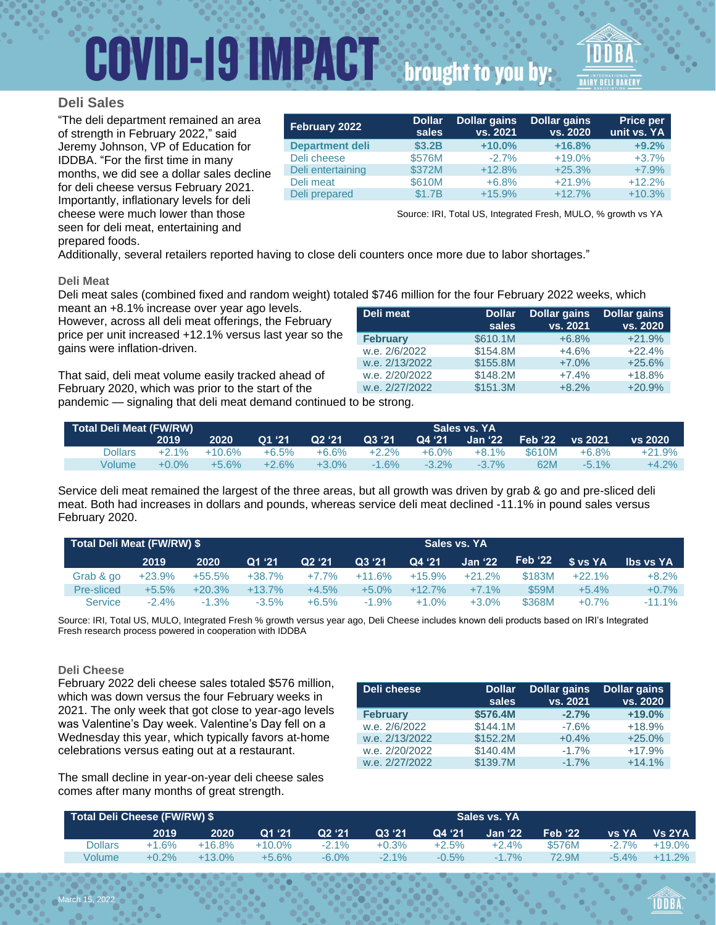# **COVID-19 IMPACT** brought to you by:

### **Deli Sales**

"The deli department remained an area of strength in February 2022," said Jeremy Johnson, VP of Education for IDDBA. "For the first time in many months, we did see a dollar sales decline for deli cheese versus February 2021. Importantly, inflationary levels for deli cheese were much lower than those seen for deli meat, entertaining and

| February 2022          | <b>Dollar</b><br>sales | <b>Dollar gains</b><br>vs. 2021 | <b>Dollar gains</b><br>vs. 2020 | <b>Price per</b><br>unit vs. YA |
|------------------------|------------------------|---------------------------------|---------------------------------|---------------------------------|
| <b>Department deli</b> | \$3.2B                 | $+10.0%$                        | $+16.8%$                        | $+9.2%$                         |
| Deli cheese            | \$576M                 | $-2.7%$                         | $+19.0%$                        | $+3.7%$                         |
| Deli entertaining      | \$372M                 | $+12.8%$                        | $+25.3%$                        | $+7.9%$                         |
| Deli meat              | \$610M                 | $+6.8%$                         | $+21.9%$                        | $+12.2%$                        |
| Deli prepared          | \$1.7B                 | $+15.9%$                        | $+12.7%$                        | $+10.3%$                        |
|                        |                        |                                 |                                 |                                 |

Source: IRI, Total US, Integrated Fresh, MULO, % growth vs YA

prepared foods.

Additionally, several retailers reported having to close deli counters once more due to labor shortages."

#### **Deli Meat**

Deli meat sales (combined fixed and random weight) totaled \$746 million for the four February 2022 weeks, which

meant an +8.1% increase over year ago levels. However, across all deli meat offerings, the February price per unit increased +12.1% versus last year so the gains were inflation-driven.

That said, deli meat volume easily tracked ahead of February 2020, which was prior to the start of the

| Deli meat       | <b>Dollar</b><br>sales | <b>Dollar gains</b><br>vs. 2021 | <b>Dollar gains</b><br>vs. 2020 |
|-----------------|------------------------|---------------------------------|---------------------------------|
| <b>February</b> | \$610.1M               | $+6.8%$                         | $+21.9%$                        |
| w.e. 2/6/2022   | \$154.8M               | $+4.6%$                         | $+22.4%$                        |
| w.e. 2/13/2022  | \$155.8M               | $+7.0%$                         | $+25.6%$                        |
| w.e. 2/20/2022  | \$148.2M               | $+7.4%$                         | $+18.8%$                        |
| w.e. 2/27/2022  | \$151.3M               | $+8.2%$                         | $+20.9%$                        |

pandemic — signaling that deli meat demand continued to be strong.

| Total Deli Meat (FW/RW)<br>Sales vs. YA |          |           |         |          |          |          |                          |                   |          |          |
|-----------------------------------------|----------|-----------|---------|----------|----------|----------|--------------------------|-------------------|----------|----------|
|                                         | 2019     | 2020      | Q1 '21  | Q2'21    | Q3 '21   |          | <b>Q4 '21  Jan '22</b> . | Feb '22 T vs 2021 |          | vs 2020  |
| Dollars                                 | $+2.1\%$ | $+10.6\%$ | +6.5%   | $+6.6%$  | $+2.2\%$ | $+6.0\%$ | +8.1%                    | \$610M            | $+6.8%$  | $+21.9%$ |
| Volume                                  | $+0.0\%$ | $+5.6\%$  | $+2.6%$ | $+3.0\%$ | $-1.6\%$ | $-3.2\%$ | $-3.7\%$                 | 62M               | $-5.1\%$ | $+4.2%$  |

Service deli meat remained the largest of the three areas, but all growth was driven by grab & go and pre-sliced deli meat. Both had increases in dollars and pounds, whereas service deli meat declined -11.1% in pound sales versus February 2020.

| Total Deli Meat (FW/RW) \$ |           |           |           |          |          |           | Sales vs. YA |         |             |                  |  |
|----------------------------|-----------|-----------|-----------|----------|----------|-----------|--------------|---------|-------------|------------------|--|
|                            | 2019      | 2020      | Q1'21     | Q2 '21   | Q3 '21   | Q4 '21    | Jan '22      | Feb '22 | $S$ vs $YA$ | <b>Ibs vs YA</b> |  |
| Grab & go                  | $+23.9\%$ | $+55.5\%$ | +38.7%    | $+7.7\%$ | $+11.6%$ | $+15.9\%$ | $+21.2%$     | \$183M  | $+22.1%$    | $+8.2\%$         |  |
| Pre-sliced                 | $+5.5\%$  | $+20.3%$  | $+13.7\%$ | $+4.5%$  | $+5.0\%$ | $+12.7\%$ | $+7.1\%$     | \$59M   | $+5.4%$     | $+0.7%$          |  |
| <b>Service</b>             | $-2.4\%$  | $-1.3\%$  | $-3.5\%$  | $+6.5%$  | $-1.9\%$ | $+1.0%$   | $+3.0\%$     | \$368M  | $+0.7%$     | $-11.1%$         |  |

Source: IRI, Total US, MULO, Integrated Fresh % growth versus year ago, Deli Cheese includes known deli products based on IRI's Integrated Fresh research process powered in cooperation with IDDBA

#### **Deli Cheese**

February 2022 deli cheese sales totaled \$576 million, which was down versus the four February weeks in 2021. The only week that got close to year-ago levels was Valentine's Day week. Valentine's Day fell on a Wednesday this year, which typically favors at-home celebrations versus eating out at a restaurant.

The small decline in year-on-year deli cheese sales comes after many months of great strength.

| Deli cheese     | <b>Dollar</b><br>sales | <b>Dollar gains</b><br>vs. 2021 | <b>Dollar gains</b><br>vs. 2020 |
|-----------------|------------------------|---------------------------------|---------------------------------|
| <b>February</b> | \$576.4M               | $-2.7%$                         | $+19.0%$                        |
| w.e. 2/6/2022   | \$144.1M               | $-7.6%$                         | $+18.9%$                        |
| w.e. 2/13/2022  | \$152.2M               | $+0.4%$                         | $+25.0%$                        |
| w.e. 2/20/2022  | \$140.4M               | $-1.7%$                         | $+17.9%$                        |
| w.e. 2/27/2022  | \$139.7M               | $-1.7%$                         | $+14.1%$                        |

| Total Deli Cheese (FW/RW) \$ |          |           |           |          |         |         | Sales vs. YA   |                |              |           |
|------------------------------|----------|-----------|-----------|----------|---------|---------|----------------|----------------|--------------|-----------|
|                              | 2019     | 2020      | Q1 '21    | Q2'21    | Q3, 21  | Q4'21'  | <b>Jan</b> '22 | <b>Feb</b> '22 | <b>VS YA</b> | Vs 2YA    |
| <b>Dollars</b>               | $+1.6%$  | $+16.8%$  | $+10.0\%$ | $-2.1\%$ | $+0.3%$ | $+2.5%$ | $+2.4%$        | \$576M         | $-2.7\%$     | +19.0%    |
| Volume                       | $+0.2\%$ | $+13.0\%$ | +5.6%     | $-6.0\%$ | $-2.1%$ | $-0.5%$ | $-1.7%$        | 72.9M          | $-5.4\%$     | $+11.2\%$ |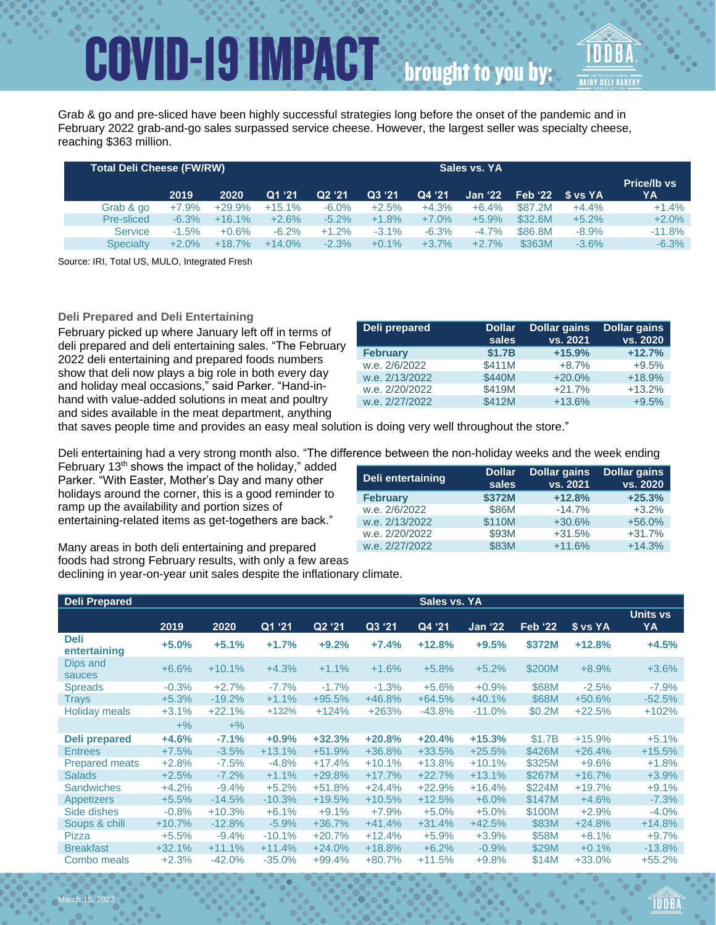# **COVID-19 IMPACT** brought to you by:

Grab & go and pre-sliced have been highly successful strategies long before the onset of the pandemic and in February 2022 grab-and-go sales surpassed service cheese. However, the largest seller was specialty cheese, reaching \$363 million.

| <b>Total Deli Cheese (FW/RW)</b> |          |          |          |          |         |          |          |                               |         |                          |
|----------------------------------|----------|----------|----------|----------|---------|----------|----------|-------------------------------|---------|--------------------------|
|                                  | 2019     | 2020     | Q1 '21   | Q2 '21   | Q3 '21  | Q4 '21   |          | Jan '22    Feb '22    S vs YA |         | <b>Price/Ib vs</b><br>YA |
| Grab & go                        | $+7.9%$  | $+29.9%$ | $+15.1%$ | $-6.0\%$ | $+2.5%$ | $+4.3%$  | $+6.4%$  | \$87.2M                       | $+4.4%$ | $+1.4%$                  |
| Pre-sliced                       | $-6.3%$  | $+16.1%$ | $+2.6%$  | $-5.2\%$ | $+1.8%$ | $+7.0\%$ | $+5.9%$  | \$32.6M                       | $+5.2%$ | $+2.0%$                  |
| <b>Service</b>                   | $-1.5%$  | $+0.6%$  | $-6.2\%$ | $+1.2%$  | $-3.1%$ | $-6.3%$  | $-4.7%$  | \$86.8M                       | $-8.9%$ | $-11.8%$                 |
| <b>Specialty</b>                 | $+2.0\%$ | $+18.7%$ | $+14.0%$ | $-2.3%$  | $+0.1%$ | $+3.7%$  | $+2.7\%$ | \$363M                        | $-3.6%$ | $-6.3%$                  |

Source: IRI, Total US, MULO, Integrated Fresh

**Deli Prepared and Deli Entertaining** 

February picked up where January left off in terms of deli prepared and deli entertaining sales. "The February 2022 deli entertaining and prepared foods numbers show that deli now plays a big role in both every day and holiday meal occasions," said Parker. "Hand-inhand with value-added solutions in meat and poultry and sides available in the meat department, anything

| Deli prepared   | <b>Dollar</b><br>sales | <b>Dollar gains</b><br>vs. 2021 | <b>Dollar gains</b><br>vs. 2020 |
|-----------------|------------------------|---------------------------------|---------------------------------|
| <b>February</b> | \$1.7B                 | $+15.9%$                        | $+12.7%$                        |
| w.e. 2/6/2022   | \$411M                 | $+8.7%$                         | $+9.5%$                         |
| w.e. 2/13/2022  | \$440M                 | $+20.0%$                        | $+18.9%$                        |
| w.e. 2/20/2022  | \$419M                 | $+21.7%$                        | $+13.2%$                        |
| w.e. 2/27/2022  | \$412M                 | $+13.6%$                        | $+9.5%$                         |

that saves people time and provides an easy meal solution is doing very well throughout the store."

Deli entertaining had a very strong month also. "The difference between the non-holiday weeks and the week ending

February  $13<sup>th</sup>$  shows the impact of the holiday," added Parker. "With Easter, Mother's Day and many other holidays around the corner, this is a good reminder to ramp up the availability and portion sizes of entertaining-related items as get-togethers are back."

| Deli entertaining | <b>Dollar</b><br>sales | <b>Dollar gains</b><br>vs. 2021 | <b>Dollar gains</b><br>vs. 2020 |
|-------------------|------------------------|---------------------------------|---------------------------------|
| <b>February</b>   | \$372M                 | $+12.8%$                        | $+25.3%$                        |
| w.e. 2/6/2022     | \$86M                  | $-14.7%$                        | $+3.2%$                         |
| w.e. 2/13/2022    | \$110M                 | $+30.6%$                        | $+56.0%$                        |
| w.e. 2/20/2022    | \$93M                  | $+31.5%$                        | $+31.7%$                        |
| w.e. 2/27/2022    | \$83M                  | $+11.6%$                        | $+14.3%$                        |

Many areas in both deli entertaining and prepared foods had strong February results, with only a few areas declining in year-on-year unit sales despite the inflationary climate.

| <b>Deli Prepared</b>        |          |          |          |          |          | Sales vs. YA        |          |                |          |                |
|-----------------------------|----------|----------|----------|----------|----------|---------------------|----------|----------------|----------|----------------|
|                             | 2019     | 2020     | Q1 '21   | Q2 '21   | Q3'21    | $\overline{Q4}$ '21 | Jan '22  | <b>Feb '22</b> | \$ vs YA | Units vs<br>YA |
| <b>Deli</b><br>entertaining | $+5.0%$  | $+5.1%$  | $+1.7%$  | $+9.2%$  | $+7.4%$  | $+12.8%$            | $+9.5%$  | \$372M         | $+12.8%$ | $+4.5%$        |
| Dips and<br>sauces          | $+6.6%$  | $+10.1%$ | $+4.3%$  | $+1.1%$  | $+1.6%$  | $+5.8%$             | $+5.2%$  | \$200M         | $+8.9%$  | $+3.6%$        |
| <b>Spreads</b>              | $-0.3%$  | $+2.7%$  | $-7.7%$  | $-1.7%$  | $-1.3%$  | $+5.6%$             | $+0.9%$  | \$68M          | $-2.5%$  | $-7.9%$        |
| <b>Trays</b>                | $+5.3%$  | $-19.2%$ | $+1.1%$  | $+95.5%$ | $+46.8%$ | $+64.5%$            | $+40.1%$ | \$68M          | $+50.6%$ | $-52.5%$       |
| <b>Holiday meals</b>        | $+3.1%$  | $+22.1%$ | $+132%$  | $+124%$  | $+263%$  | $-43.8%$            | $-11.0%$ | \$0.2M         | $+22.5%$ | $+102%$        |
|                             | $+$ %    | $+$ %    |          |          |          |                     |          |                |          |                |
| Deli prepared               | $+4.6%$  | $-7.1%$  | $+0.9%$  | $+32.3%$ | $+20.8%$ | $+20.4%$            | $+15.3%$ | \$1.7B         | $+15.9%$ | $+5.1%$        |
| <b>Entrees</b>              | $+7.5%$  | $-3.5%$  | $+13.1%$ | $+51.9%$ | $+36.8%$ | $+33.5%$            | $+25.5%$ | \$426M         | $+26.4%$ | $+15.5%$       |
| <b>Prepared meats</b>       | $+2.8%$  | $-7.5%$  | $-4.8%$  | $+17.4%$ | $+10.1%$ | $+13.8%$            | $+10.1%$ | \$325M         | $+9.6%$  | $+1.8%$        |
| <b>Salads</b>               | $+2.5%$  | $-7.2%$  | $+1.1%$  | $+29.8%$ | $+17.7%$ | $+22.7%$            | $+13.1%$ | \$267M         | $+16.7%$ | $+3.9%$        |
| <b>Sandwiches</b>           | $+4.2%$  | $-9.4%$  | $+5.2%$  | $+51.8%$ | $+24.4%$ | $+22.9%$            | $+16.4%$ | \$224M         | $+19.7%$ | $+9.1%$        |
| <b>Appetizers</b>           | $+5.5%$  | $-14.5%$ | $-10.3%$ | $+19.5%$ | $+10.5%$ | $+12.5%$            | $+6.0\%$ | \$147M         | $+4.6%$  | $-7.3%$        |
| Side dishes                 | $-0.8%$  | $+10.3%$ | $+6.1%$  | $+9.1%$  | $+7.9%$  | $+5.0%$             | $+5.0%$  | \$100M         | $+2.9%$  | $-4.0%$        |
| Soups & chili               | $+10.7%$ | $-12.8%$ | $-5.9%$  | $+36.7%$ | $+41.4%$ | $+31.4%$            | $+42.5%$ | \$83M          | $+24.8%$ | $+14.8%$       |
| Pizza                       | $+5.5%$  | $-9.4%$  | $-10.1%$ | $+20.7%$ | $+12.4%$ | $+5.9%$             | $+3.9%$  | \$58M          | $+8.1%$  | $+9.7%$        |
| <b>Breakfast</b>            | $+32.1%$ | $+11.1%$ | $+11.4%$ | $+24.0%$ | $+18.8%$ | $+6.2%$             | $-0.9%$  | \$29M          | $+0.1%$  | $-13.8%$       |
| Combo meals                 | $+2.3%$  | $-42.0%$ | $-35.0%$ | $+99.4%$ | $+80.7%$ | $+11.5%$            | $+9.8%$  | \$14M          | +33.0%   | $+55.2%$       |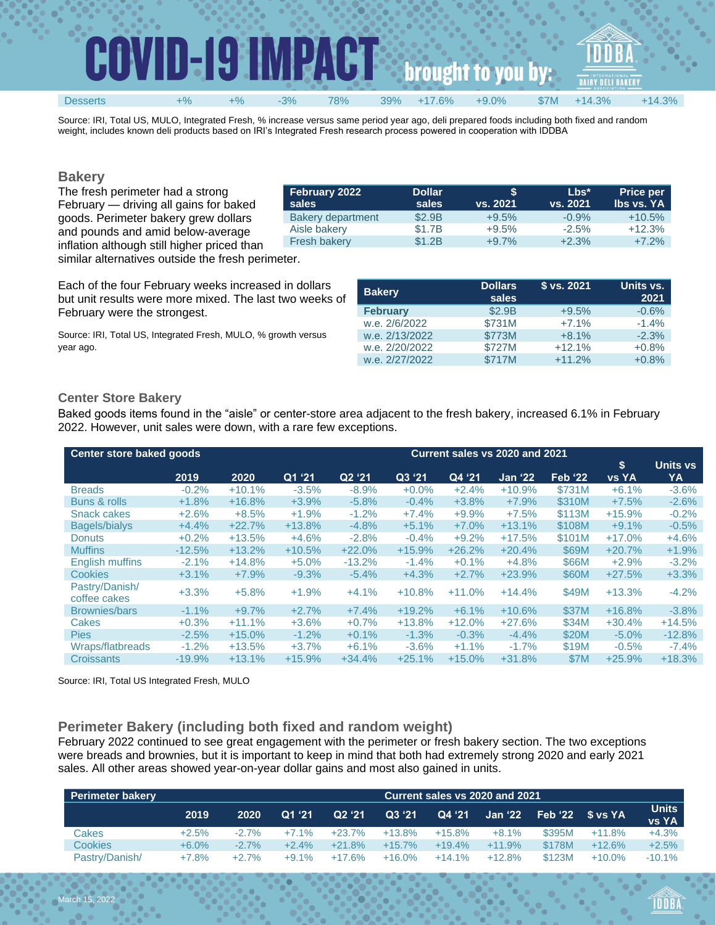| Ħ        |    | -19<br>D | n.    | V.<br>D.<br>UU<br>$\mathbf{r}$ |     |        |          |      | ASSOCIATION |          |  |
|----------|----|----------|-------|--------------------------------|-----|--------|----------|------|-------------|----------|--|
| Desserts | +% | $+$ %    | $-3%$ | 78%                            | 39% | $.6\%$ | $+9.0\%$ | \$7M | $+14.3%$    | $+14.3%$ |  |

Source: IRI, Total US, MULO, Integrated Fresh, % increase versus same period year ago, deli prepared foods including both fixed and random weight, includes known deli products based on IRI's Integrated Fresh research process powered in cooperation with IDDBA

### **Bakery**

The fresh perimeter had a strong February — driving all gains for baked goods. Perimeter bakery grew dollars and pounds and amid below-average inflation although still higher priced than similar alternatives outside the fresh perimeter.

| February 2022<br>sales   | <b>Dollar</b><br>sales | S<br>vs. 2021 | $Lbs^*$<br>vs. 2021 | <b>Price per</b><br><b>Ibs vs. YA</b> |
|--------------------------|------------------------|---------------|---------------------|---------------------------------------|
| <b>Bakery department</b> | \$2.9B                 | $+9.5%$       | $-0.9%$             | $+10.5%$                              |
| Aisle bakery             | \$1.7B                 | $+9.5%$       | $-2.5\%$            | $+12.3%$                              |
| <b>Fresh bakery</b>      | \$1.2B                 | $+9.7%$       | $+2.3%$             | $+7.2%$                               |

Each of the four February weeks increased in dollars but unit results were more mixed. The last two weeks of February were the strongest.

Source: IRI, Total US, Integrated Fresh, MULO, % growth versus year ago.

| <b>Bakery</b>   | <b>Dollars</b><br>sales | \$ vs. 2021 | Units vs.<br>2021 |
|-----------------|-------------------------|-------------|-------------------|
| <b>February</b> | \$2.9B                  | $+9.5%$     | $-0.6%$           |
| w.e. 2/6/2022   | \$731M                  | $+7.1%$     | $-1.4%$           |
| w.e. 2/13/2022  | \$773M                  | $+8.1%$     | $-2.3%$           |
| w.e. 2/20/2022  | \$727M                  | $+12.1%$    | $+0.8%$           |
| w.e. 2/27/2022  | \$717M                  | $+11.2%$    | $+0.8%$           |

### **Center Store Bakery**

Baked goods items found in the "aisle" or center-store area adjacent to the fresh bakery, increased 6.1% in February 2022. However, unit sales were down, with a rare few exceptions.

| Center store baked goods       |          |          |          | Current sales vs 2020 and 2021 |          |          |                |                |                      |                       |
|--------------------------------|----------|----------|----------|--------------------------------|----------|----------|----------------|----------------|----------------------|-----------------------|
|                                | 2019     | 2020     | Q1'21    | Q2'21                          | Q3 '21   | Q4 '21   | <b>Jan '22</b> | <b>Feb</b> '22 | ۱\$.<br><b>vs YA</b> | <b>Units vs</b><br>YA |
| <b>Breads</b>                  | $-0.2%$  | $+10.1%$ | $-3.5%$  | $-8.9%$                        | $+0.0\%$ | $+2.4%$  | $+10.9%$       | \$731M         | $+6.1%$              | $-3.6%$               |
| Buns & rolls                   | $+1.8%$  | $+16.8%$ | $+3.9%$  | $-5.8%$                        | $-0.4%$  | $+3.8%$  | $+7.9%$        | \$310M         | $+7.5%$              | $-2.6%$               |
| <b>Snack cakes</b>             | $+2.6%$  | $+8.5%$  | $+1.9%$  | $-1.2%$                        | $+7.4%$  | $+9.9%$  | $+7.5%$        | \$113M         | $+15.9%$             | $-0.2%$               |
| <b>Bagels/bialys</b>           | $+4.4%$  | $+22.7%$ | $+13.8%$ | $-4.8%$                        | $+5.1%$  | $+7.0%$  | $+13.1%$       | \$108M         | $+9.1%$              | $-0.5%$               |
| <b>Donuts</b>                  | $+0.2%$  | $+13.5%$ | $+4.6%$  | $-2.8%$                        | $-0.4%$  | $+9.2%$  | $+17.5%$       | \$101M         | $+17.0%$             | $+4.6%$               |
| <b>Muffins</b>                 | $-12.5%$ | $+13.2%$ | $+10.5%$ | $+22.0%$                       | $+15.9%$ | $+26.2%$ | $+20.4%$       | \$69M          | $+20.7%$             | $+1.9%$               |
| <b>English muffins</b>         | $-2.1%$  | $+14.8%$ | $+5.0%$  | $-13.2%$                       | $-1.4%$  | $+0.1%$  | $+4.8%$        | \$66M          | $+2.9%$              | $-3.2%$               |
| Cookies                        | $+3.1%$  | $+7.9%$  | $-9.3%$  | $-5.4%$                        | $+4.3%$  | $+2.7%$  | $+23.9%$       | \$60M          | $+27.5%$             | $+3.3%$               |
| Pastry/Danish/<br>coffee cakes | $+3.3%$  | $+5.8%$  | $+1.9%$  | $+4.1%$                        | $+10.8%$ | $+11.0%$ | $+14.4%$       | \$49M          | $+13.3%$             | $-4.2%$               |
| <b>Brownies/bars</b>           | $-1.1%$  | $+9.7%$  | $+2.7%$  | $+7.4%$                        | $+19.2%$ | $+6.1%$  | $+10.6%$       | \$37M          | $+16.8%$             | $-3.8%$               |
| Cakes                          | $+0.3%$  | $+11.1%$ | $+3.6%$  | $+0.7%$                        | $+13.8%$ | $+12.0%$ | $+27.6%$       | \$34M          | $+30.4%$             | $+14.5%$              |
| <b>Pies</b>                    | $-2.5%$  | $+15.0%$ | $-1.2%$  | $+0.1%$                        | $-1.3%$  | $-0.3\%$ | $-4.4\%$       | \$20M          | $-5.0%$              | $-12.8%$              |
| Wraps/flatbreads               | $-1.2%$  | $+13.5%$ | $+3.7%$  | $+6.1%$                        | $-3.6%$  | $+1.1%$  | $-1.7\%$       | \$19M          | $-0.5%$              | $-7.4\%$              |
| <b>Croissants</b>              | $-19.9%$ | $+13.1%$ | $+15.9%$ | $+34.4%$                       | $+25.1%$ | $+15.0%$ | $+31.8%$       | <b>\$7M</b>    | $+25.9%$             | $+18.3%$              |

Source: IRI, Total US Integrated Fresh, MULO

### **Perimeter Bakery (including both fixed and random weight)**

February 2022 continued to see great engagement with the perimeter or fresh bakery section. The two exceptions were breads and brownies, but it is important to keep in mind that both had extremely strong 2020 and early 2021 sales. All other areas showed year-on-year dollar gains and most also gained in units.

| <b>Perimeter bakery</b> |          | Current sales vs 2020 and 2021. |         |                    |          |          |          |         |           |                       |
|-------------------------|----------|---------------------------------|---------|--------------------|----------|----------|----------|---------|-----------|-----------------------|
|                         | 2019     | 2020                            | Q1 '21  | Q <sub>2</sub> '21 | Q3 '21   | Q4 '21   | Jan '22  | Feb '22 | Si vs YA  | <b>Units</b><br>vs YA |
| Cakes                   | $+2.5%$  | $-2.7%$                         | $+7.1%$ | $+23.7%$           | $+13.8%$ | $+15.8%$ | $+8.1%$  | \$395M  | $+11.8%$  | $+4.3%$               |
| Cookies                 | $+6.0\%$ | $-2.7%$                         | $+2.4%$ | $+21.8%$           | $+15.7%$ | $+19.4%$ | $+11.9%$ | \$178M  | $+12.6%$  | $+2.5%$               |
| Pastry/Danish/          | $+7.8%$  | $+2.7%$                         | $+9.1%$ | $+17.6%$           | $+16.0%$ | $+14.1%$ | $+12.8%$ | \$123M  | $+10.0\%$ | $-10.1\%$             |